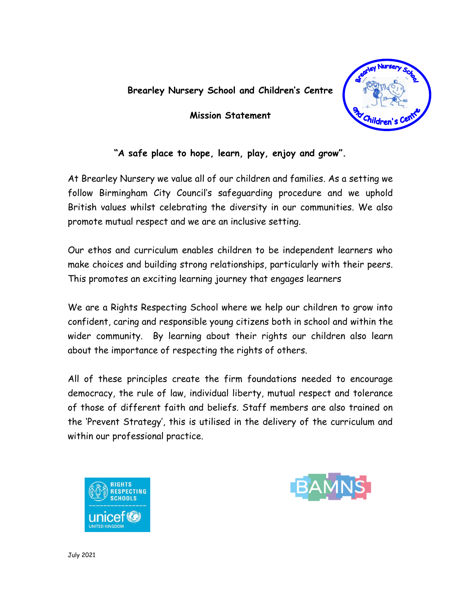#### **Brearley Nursery School and Children's Centre**

**Mission Statement**



### **"A safe place to hope, learn, play, enjoy and grow".**

At Brearley Nursery we value all of our children and families. As a setting we follow Birmingham City Council's safeguarding procedure and we uphold British values whilst celebrating the diversity in our communities. We also promote mutual respect and we are an inclusive setting.

Our ethos and curriculum enables children to be independent learners who make choices and building strong relationships, particularly with their peers. This promotes an exciting learning journey that engages learners

We are a Rights Respecting School where we help our children to grow into confident, caring and responsible young citizens both in school and within the wider community. By learning about their rights our children also learn about the importance of respecting the rights of others.

All of these principles create the firm foundations needed to encourage democracy, the rule of law, individual liberty, mutual respect and tolerance of those of different faith and beliefs. Staff members are also trained on the 'Prevent Strategy', this is utilised in the delivery of the curriculum and within our professional practice.



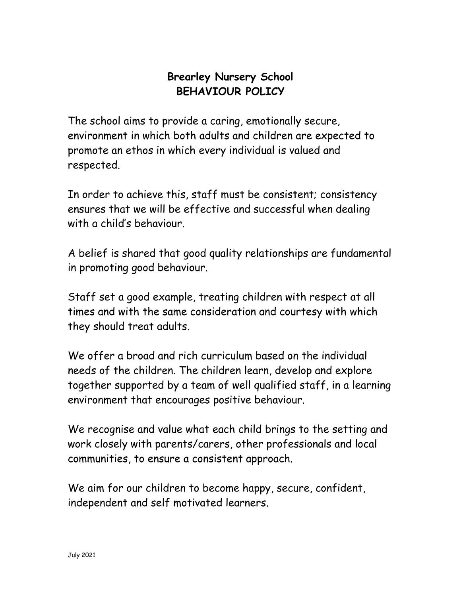# **Brearley Nursery School BEHAVIOUR POLICY**

The school aims to provide a caring, emotionally secure, environment in which both adults and children are expected to promote an ethos in which every individual is valued and respected.

In order to achieve this, staff must be consistent; consistency ensures that we will be effective and successful when dealing with a child's behaviour.

A belief is shared that good quality relationships are fundamental in promoting good behaviour.

Staff set a good example, treating children with respect at all times and with the same consideration and courtesy with which they should treat adults.

We offer a broad and rich curriculum based on the individual needs of the children. The children learn, develop and explore together supported by a team of well qualified staff, in a learning environment that encourages positive behaviour.

We recognise and value what each child brings to the setting and work closely with parents/carers, other professionals and local communities, to ensure a consistent approach.

We aim for our children to become happy, secure, confident, independent and self motivated learners.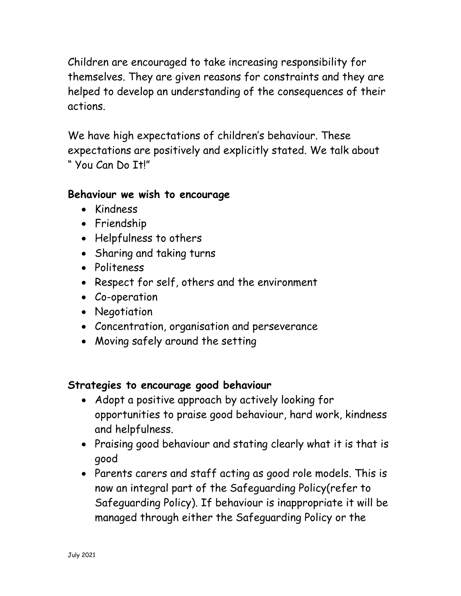Children are encouraged to take increasing responsibility for themselves. They are given reasons for constraints and they are helped to develop an understanding of the consequences of their actions.

We have high expectations of children's behaviour. These expectations are positively and explicitly stated. We talk about " You Can Do It!"

## **Behaviour we wish to encourage**

- Kindness
- Friendship
- Helpfulness to others
- Sharing and taking turns
- Politeness
- Respect for self, others and the environment
- Co-operation
- Negotiation
- Concentration, organisation and perseverance
- Moving safely around the setting

### **Strategies to encourage good behaviour**

- Adopt a positive approach by actively looking for opportunities to praise good behaviour, hard work, kindness and helpfulness.
- Praising good behaviour and stating clearly what it is that is good
- Parents carers and staff acting as good role models. This is now an integral part of the Safeguarding Policy(refer to Safeguarding Policy). If behaviour is inappropriate it will be managed through either the Safeguarding Policy or the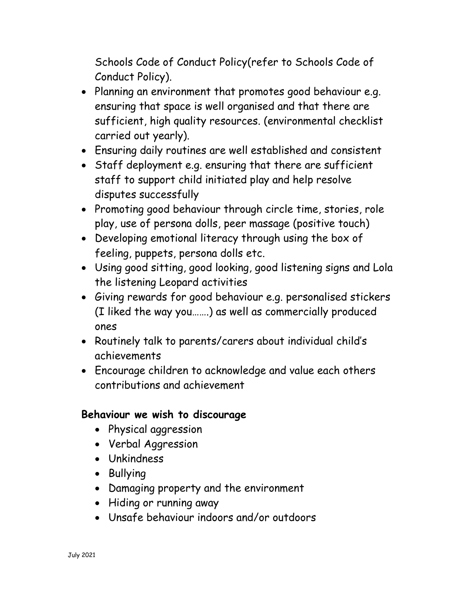Schools Code of Conduct Policy(refer to Schools Code of Conduct Policy).

- Planning an environment that promotes good behaviour e.g. ensuring that space is well organised and that there are sufficient, high quality resources. (environmental checklist carried out yearly).
- Ensuring daily routines are well established and consistent
- Staff deployment e.g. ensuring that there are sufficient staff to support child initiated play and help resolve disputes successfully
- Promoting good behaviour through circle time, stories, role play, use of persona dolls, peer massage (positive touch)
- Developing emotional literacy through using the box of feeling, puppets, persona dolls etc.
- Using good sitting, good looking, good listening signs and Lola the listening Leopard activities
- Giving rewards for good behaviour e.g. personalised stickers (I liked the way you…….) as well as commercially produced ones
- Routinely talk to parents/carers about individual child's achievements
- Encourage children to acknowledge and value each others contributions and achievement

### **Behaviour we wish to discourage**

- Physical aggression
- Verbal Aggression
- Unkindness
- Bullying
- Damaging property and the environment
- Hiding or running away
- Unsafe behaviour indoors and/or outdoors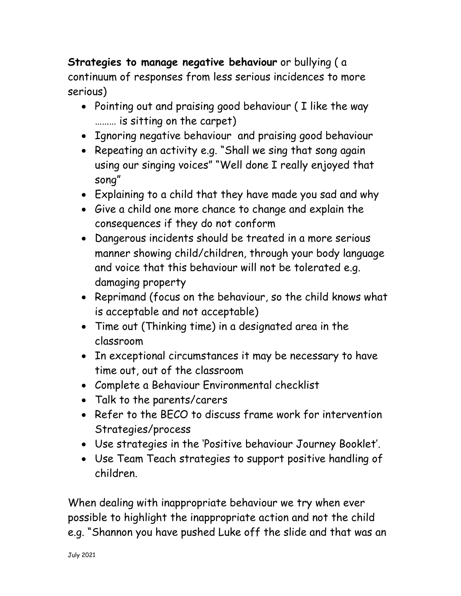**Strategies to manage negative behaviour** or bullying ( a continuum of responses from less serious incidences to more serious)

- Pointing out and praising good behaviour (I like the way ……… is sitting on the carpet)
- Ignoring negative behaviour and praising good behaviour
- Repeating an activity e.g. "Shall we sing that song again using our singing voices" "Well done I really enjoyed that song"
- Explaining to a child that they have made you sad and why
- Give a child one more chance to change and explain the consequences if they do not conform
- Dangerous incidents should be treated in a more serious manner showing child/children, through your body language and voice that this behaviour will not be tolerated e.g. damaging property
- Reprimand (focus on the behaviour, so the child knows what is acceptable and not acceptable)
- Time out (Thinking time) in a designated area in the classroom
- In exceptional circumstances it may be necessary to have time out, out of the classroom
- Complete a Behaviour Environmental checklist
- Talk to the parents/carers
- Refer to the BFCO to discuss frame work for intervention Strategies/process
- Use strategies in the 'Positive behaviour Journey Booklet'.
- Use Team Teach strategies to support positive handling of children.

When dealing with inappropriate behaviour we try when ever possible to highlight the inappropriate action and not the child e.g. "Shannon you have pushed Luke off the slide and that was an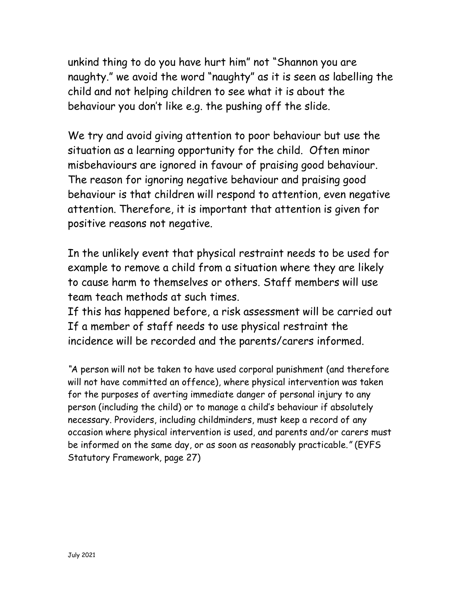unkind thing to do you have hurt him" not "Shannon you are naughty." we avoid the word "naughty" as it is seen as labelling the child and not helping children to see what it is about the behaviour you don't like e.g. the pushing off the slide.

We try and avoid giving attention to poor behaviour but use the situation as a learning opportunity for the child. Often minor misbehaviours are ignored in favour of praising good behaviour. The reason for ignoring negative behaviour and praising good behaviour is that children will respond to attention, even negative attention. Therefore, it is important that attention is given for positive reasons not negative.

In the unlikely event that physical restraint needs to be used for example to remove a child from a situation where they are likely to cause harm to themselves or others. Staff members will use team teach methods at such times.

If this has happened before, a risk assessment will be carried out If a member of staff needs to use physical restraint the incidence will be recorded and the parents/carers informed.

*"*A person will not be taken to have used corporal punishment (and therefore will not have committed an offence), where physical intervention was taken for the purposes of averting immediate danger of personal injury to any person (including the child) or to manage a child's behaviour if absolutely necessary. Providers, including childminders, must keep a record of any occasion where physical intervention is used, and parents and/or carers must be informed on the same day, or as soon as reasonably practicable.*"* (EYFS Statutory Framework, page 27)